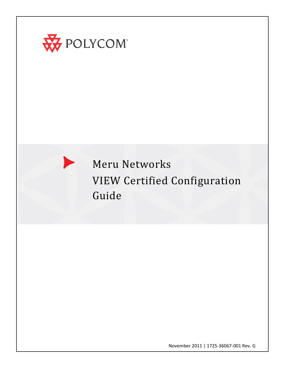

 $\blacktriangleright$ 

# Meru Networks VIEW Certified Configuration Guide

November 2011 | 1725-36067-001 Rev. G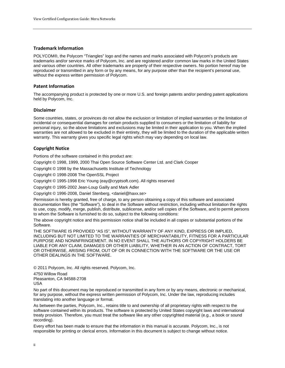#### **Trademark Information**

POLYCOM®, the Polycom "Triangles" logo and the names and marks associated with Polycom's products are trademarks and/or service marks of Polycom, Inc. and are registered and/or common law marks in the United States and various other countries. All other trademarks are property of their respective owners. No portion hereof may be reproduced or transmitted in any form or by any means, for any purpose other than the recipient's personal use, without the express written permission of Polycom.

#### **Patent Information**

The accompanying product is protected by one or more U.S. and foreign patents and/or pending patent applications held by Polycom, Inc.

#### **Disclaimer**

Some countries, states, or provinces do not allow the exclusion or limitation of implied warranties or the limitation of incidental or consequential damages for certain products supplied to consumers or the limitation of liability for personal injury, so the above limitations and exclusions may be limited in their application to you. When the implied warranties are not allowed to be excluded in their entirety, they will be limited to the duration of the applicable written warranty. This warranty gives you specific legal rights which may vary depending on local law.

#### **Copyright Notice**

Portions of the software contained in this product are:

Copyright © 1998, 1999, 2000 Thai Open Source Software Center Ltd. and Clark Cooper

Copyright © 1998 by the Massachusetts Institute of Technology

Copyright © 1998-2008 The OpenSSL Project

Copyright © 1995-1998 Eric Young (eay@cryptsoft.com). All rights reserved

Copyright © 1995-2002 Jean-Loup Gailly and Mark Adler

Copyright © 1996-2008, Daniel Stenberg, <daniel@haxx.se>

Permission is hereby granted, free of charge, to any person obtaining a copy of this software and associated documentation files (the "Software"), to deal in the Software without restriction, including without limitation the rights to use, copy, modify, merge, publish, distribute, sublicense, and/or sell copies of the Software, and to permit persons to whom the Software is furnished to do so, subject to the following conditions:

The above copyright notice and this permission notice shall be included in all copies or substantial portions of the Software.

THE SOFTWARE IS PROVIDED "AS IS", WITHOUT WARRANTY OF ANY KIND, EXPRESS OR IMPLIED, INCLUDING BUT NOT LIMITED TO THE WARRANTIES OF MERCHANTABILITY, FITNESS FOR A PARTICULAR PURPOSE AND NONINFRINGEMENT. IN NO EVENT SHALL THE AUTHORS OR COPYRIGHT HOLDERS BE LIABLE FOR ANY CLAIM, DAMAGES OR OTHER LIABILITY, WHETHER IN AN ACTION OF CONTRACT, TORT OR OTHERWISE, ARISING FROM, OUT OF OR IN CONNECTION WITH THE SOFTWARE OR THE USE OR OTHER DEALINGS IN THE SOFTWARE.

© 2011 Polycom, Inc. All rights reserved. Polycom, Inc.

4750 Willow Road Pleasanton, CA 94588-2708 USA

No part of this document may be reproduced or transmitted in any form or by any means, electronic or mechanical, for any purpose, without the express written permission of Polycom, Inc. Under the law, reproducing includes translating into another language or format.

As between the parties, Polycom, Inc., retains title to and ownership of all proprietary rights with respect to the software contained within its products. The software is protected by United States copyright laws and international treaty provision. Therefore, you must treat the software like any other copyrighted material (e.g., a book or sound recording).

Every effort has been made to ensure that the information in this manual is accurate. Polycom, Inc., is not responsible for printing or clerical errors. Information in this document is subject to change without notice.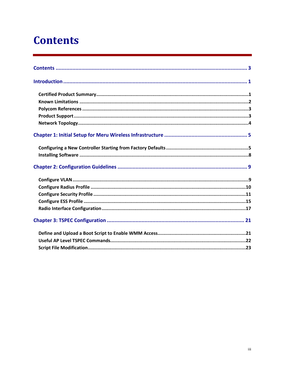# <span id="page-2-0"></span>**Contents**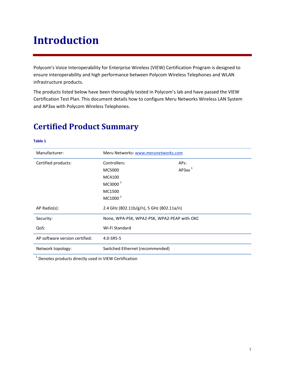# **Introduction**

Polycom's Voice Interoperability for Enterprise Wireless (VIEW) Certification Program is designed to ensure interoperability and high performance between Polycom Wireless Telephones and WLAN infrastructure products.

The products listed below have been thoroughly tested in Polycom's lab and have passed the VIEW Certification Test Plan. This document details how to configure Meru Networks Wireless LAN System and AP3xx with Polycom Wireless Telephones.

| Manufacturer:                  | Meru Networks: www.merunetworks.com      |                                             |  |  |
|--------------------------------|------------------------------------------|---------------------------------------------|--|--|
| Certified products:            | Controllers:                             | APs:                                        |  |  |
|                                | MC5000                                   | $AP3xx$ <sup>1</sup>                        |  |  |
|                                | MC4100                                   |                                             |  |  |
|                                | MC3000 <sup>1</sup>                      |                                             |  |  |
|                                | MC1500                                   |                                             |  |  |
|                                | MC1000 <sup>1</sup>                      |                                             |  |  |
| AP Radio(s):                   | 2.4 GHz (802.11b/g/n), 5 GHz (802.11a/n) |                                             |  |  |
| Security:                      |                                          | None, WPA-PSK, WPA2-PSK, WPA2-PEAP with OKC |  |  |
| QoS:                           | Wi-Fi Standard                           |                                             |  |  |
| AP software version certified: | 4.0-SR5-5                                |                                             |  |  |
| Network topology:              | Switched Ethernet (recommended)          |                                             |  |  |

## <span id="page-4-0"></span>**Certified Product Summary**

#### **Table 1**

<sup>1</sup> Denotes products directly used in VIEW Certification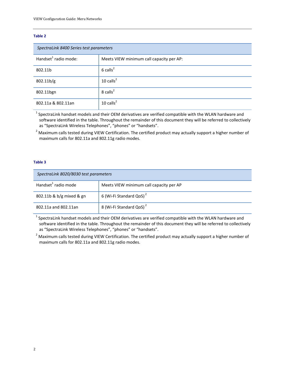#### **Table 2**

| SpectraLink 8400 Series test parameters |                                          |  |  |  |  |
|-----------------------------------------|------------------------------------------|--|--|--|--|
| Handset <sup>1</sup> radio mode:        | Meets VIEW minimum call capacity per AP: |  |  |  |  |
| 802.11b                                 | $6$ calls <sup>2</sup>                   |  |  |  |  |
| $802.11b$ /g                            | 10 $\text{calls}^2$                      |  |  |  |  |
| 802.11bgn                               | $8$ calls <sup>2</sup>                   |  |  |  |  |
| 802.11a & 802.11an                      | 10 calls $^2$                            |  |  |  |  |

 $1$  SpectraLink handset models and their OEM derivatives are verified compatible with the WLAN hardware and software identified in the table. Throughout the remainder of this document they will be referred to collectively as "SpectraLink Wireless Telephones", "phones" or "handsets".

<sup>2</sup> Maximum calls tested during VIEW Certification. The certified product may actually support a higher number of maximum calls for 802.11a and 802.11g radio modes.

#### **Table 3**

| SpectraLink 8020/8030 test parameters |                                         |  |  |  |  |
|---------------------------------------|-----------------------------------------|--|--|--|--|
| Handset <sup>1</sup> radio mode       | Meets VIEW minimum call capacity per AP |  |  |  |  |
| $802.11b \& b/g$ mixed & gn           | 6 (Wi-Fi Standard QoS) <sup>2</sup>     |  |  |  |  |
| 802.11a and 802.11an                  | 8 (Wi-Fi Standard QoS) <sup>2</sup>     |  |  |  |  |

<span id="page-5-0"></span> $1$  SpectraLink handset models and their OEM derivatives are verified compatible with the WLAN hardware and software identified in the table. Throughout the remainder of this document they will be referred to collectively as "SpectraLink Wireless Telephones", "phones" or "handsets".

<sup>2</sup> Maximum calls tested during VIEW Certification. The certified product may actually support a higher number of maximum calls for 802.11a and 802.11g radio modes.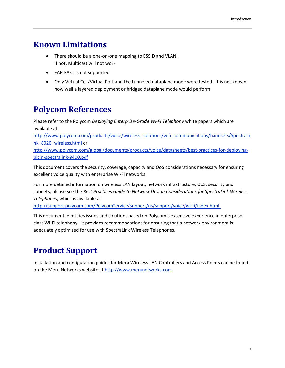# **Known Limitations**

- There should be a one-on-one mapping to ESSID and VLAN. If not, Multicast will not work
- EAP-FAST is not supported
- Only Virtual Cell/Virtual Port and the tunneled dataplane mode were tested. It is not known how well a layered deployment or bridged dataplane mode would perform.

# <span id="page-6-0"></span>**Polycom References**

Please refer to the Polycom *Deploying Enterprise-Grade Wi-Fi Telephony* white papers which are available at

[http://www.polycom.com/products/voice/wireless\\_solutions/wifi\\_communications/handsets/SpectraLi](http://www.polycom.com/products/voice/wireless_solutions/wifi_communications/handsets/spectralink_8020_wireless.html) [nk\\_8020\\_wireless.html](http://www.polycom.com/products/voice/wireless_solutions/wifi_communications/handsets/spectralink_8020_wireless.html) or

[http://www.polycom.com/global/documents/products/voice/datasheets/best-practices-for-deploying](http://www.polycom.com/global/documents/products/voice/datasheets/best-practices-for-deploying-plcm-spectralink-8400.pdf)[plcm-spectralink-8400.pdf](http://www.polycom.com/global/documents/products/voice/datasheets/best-practices-for-deploying-plcm-spectralink-8400.pdf)

This document covers the security, coverage, capacity and QoS considerations necessary for ensuring excellent voice quality with enterprise Wi-Fi networks.

For more detailed information on wireless LAN layout, network infrastructure, QoS, security and subnets, please see the *Best Practices Guide to Network Design Considerations for SpectraLink Wireless Telephones*, which is available at

[http://support.polycom.com/PolycomService/support/us/support/voice/wi-fi/index.html.](http://support.polycom.com/PolycomService/support/us/support/voice/wi-fi/index.html)

This document identifies issues and solutions based on Polycom's extensive experience in enterpriseclass Wi-Fi telephony. It provides recommendations for ensuring that a network environment is adequately optimized for use with SpectraLink Wireless Telephones.

# <span id="page-6-1"></span>**Product Support**

<span id="page-6-2"></span>Installation and configuration guides for Meru Wireless LAN Controllers and Access Points can be found on the Meru Networks website at [http://www.merunetworks.com.](http://www.merunetworks.com/)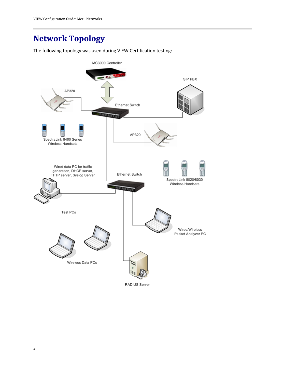# **Network Topology**

The following topology was used during VIEW Certification testing:

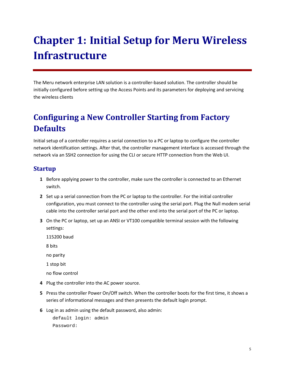# **Chapter 1: Initial Setup for Meru Wireless Infrastructure**

The Meru network enterprise LAN solution is a controller-based solution. The controller should be initially configured before setting up the Access Points and its parameters for deploying and servicing the wireless clients

# <span id="page-8-0"></span>**Configuring a New Controller Starting from Factory Defaults**

Initial setup of a controller requires a serial connection to a PC or laptop to configure the controller network identification settings. After that, the controller management interface is accessed through the network via an SSH2 connection for using the CLI or secure HTTP connection from the Web UI.

## **Startup**

- **1** Before applying power to the controller, make sure the controller is connected to an Ethernet switch.
- **2** Set up a serial connection from the PC or laptop to the controller. For the initial controller configuration, you must connect to the controller using the serial port. Plug the Null modem serial cable into the controller serial port and the other end into the serial port of the PC or laptop.
- **3** On the PC or laptop, set up an ANSI or VT100 compatible terminal session with the following settings:
	- 115200 baud
	- 8 bits
	- no parity
	- 1 stop bit
	- no flow control
- **4** Plug the controller into the AC power source.
- **5** Press the controller Power On/Off switch. When the controller boots for the first time, it shows a series of informational messages and then presents the default login prompt.
- **6** Log in as admin using the default password, also admin:

```
default login: admin
Password:
```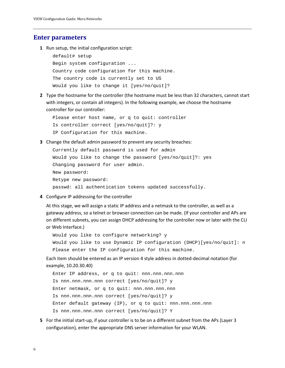#### **Enter parameters**

**1** Run setup, the initial configuration script:

```
default# setup
Begin system configuration ...
Country code configuration for this machine.
The country code is currently set to US
Would you like to change it [yes/no/quit]?
```
**2** Type the hostname for the controller (the hostname must be less than 32 characters, cannot start with integers, or contain all integers). In the following example, we choose the hostname controller for our controller:

```
Please enter host name, or q to quit: controller
Is controller correct [yes/no/quit]?: y
IP Configuration for this machine.
```
**3** Change the default admin password to prevent any security breaches:

```
Currently default password is used for admin
Would you like to change the password [yes/no/quit]?: yes
Changing password for user admin.
New password:
Retype new password:
passwd: all authentication tokens updated successfully.
```
**4** Configure IP addressing for the controller

At this stage, we will assign a static IP address and a netmask to the controller, as well as a gateway address, so a telnet or browser connection can be made. (If your controller and APs are on different subnets, you can assign DHCP addressing for the controller now or later with the CLI or Web Interface.)

Would you like to configure networking? y Would you like to use Dynamic IP configuration (DHCP)[yes/no/quit]: n Please enter the IP configuration for this machine.

Each item should be entered as an IP version 4 style address in dotted-decimal notation (for example, 10.20.30.40)

Enter IP address, or q to quit: nnn.nnn.nnn.nnn Is nnn.nnn.nnn.nnn correct [yes/no/quit]? y Enter netmask, or q to quit: nnn.nnn.nnn.nnn Is nnn.nnn.nnn.nnn correct [yes/no/quit]? y Enter default gateway (IP), or q to quit: nnn.nnn.nnn.nnn Is nnn.nnn.nnn.nnn correct [yes/no/quit]? Y

**5** For the initial start-up, if your controller is to be on a different subnet from the APs (Layer 3 configuration), enter the appropriate DNS server information for your WLAN.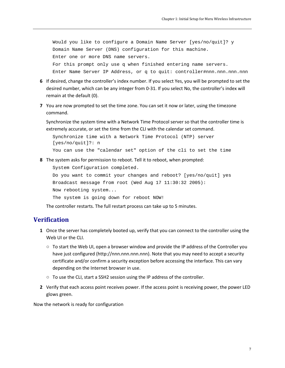Would you like to configure a Domain Name Server [yes/no/quit]? y Domain Name Server (DNS) configuration for this machine. Enter one or more DNS name servers. For this prompt only use q when finished entering name servers. Enter Name Server IP Address, or q to quit: controller#nnn.nnn.nnn.nnn

- **6** If desired, change the controller's index number. If you select Yes, you will be prompted to set the desired number, which can be any integer from 0-31. If you select No, the controller's index will remain at the default (0).
- **7** You are now prompted to set the time zone. You can set it now or later, using the timezone command.

Synchronize the system time with a Network Time Protocol server so that the controller time is extremely accurate, or set the time from the CLI with the calendar set command.

Synchronize time with a Network Time Protocol (NTP) server [yes/no/quit]?: n

You can use the "calendar set" option of the cli to set the time

**8** The system asks for permission to reboot. Tell it to reboot, when prompted:

System Configuration completed.

Do you want to commit your changes and reboot? [yes/no/quit] yes Broadcast message from root (Wed Aug 17 11:30:32 2005): Now rebooting system...

The system is going down for reboot NOW!

The controller restarts. The full restart process can take up to 5 minutes.

#### **Verification**

- **1** Once the server has completely booted up, verify that you can connect to the controller using the Web UI or the CLI.
	- To start the Web UI, open a browser window and provide the IP address of the Controller you have just configured (http://nnn.nnn.nnn.nnn). Note that you may need to accept a security certificate and/or confirm a security exception before accessing the interface. This can vary depending on the Internet browser in use.
	- To use the CLI, start a SSH2 session using the IP address of the controller.
- **2** Verify that each access point receives power. If the access point is receiving power, the power LED glows green.

Now the network is ready for configuration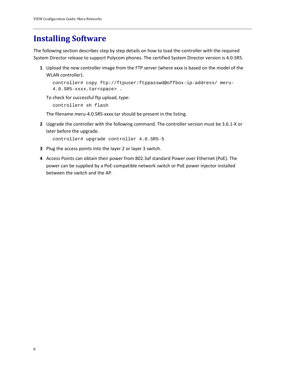## <span id="page-11-0"></span>**Installing Software**

The following section describes step by step details on how to load the controller with the required System Director release to support Polycom phones. The certified System Director version is 4.0-SR5.

**1** Upload the new controller image from the FTP server (where xxxx is based on the model of the WLAN controller).

```
controller# copy ftp://ftpuser:ftppasswd@offbox-ip-address/ meru-
4.0.SR5-xxxx.tar<space> .
```
To check for successful ftp upload, type:

controller# sh flash

The filename meru-4.0.SR5-xxxx.tar should be present in the listing.

**2** Upgrade the controller with the following command. The controller version must be 3.6.1-X or later before the upgrade.

```
controller# upgrade controller 4.0.SR5-5
```
- **3** Plug the access points into the layer 2 or layer 3 switch.
- **4** Access Points can obtain their power from 802.3af standard Power over Ethernet (PoE). The power can be supplied by a PoE-compatible network switch or PoE power injector installed between the switch and the AP.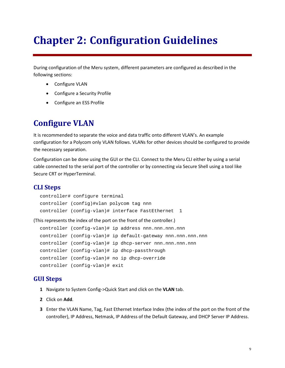# **Chapter 2: Configuration Guidelines**

During configuration of the Meru system, different parameters are configured as described in the following sections:

- Configure VLAN
- Configure a Security Profile
- Configure an ESS Profile

## <span id="page-12-0"></span>**Configure VLAN**

It is recommended to separate the voice and data traffic onto different VLAN's. An example configuration for a Polycom only VLAN follows. VLANs for other devices should be configured to provide the necessary separation.

Configuration can be done using the GUI or the CLI. Connect to the Meru CLI either by using a serial cable connected to the serial port of the controller or by connecting via Secure Shell using a tool like Secure CRT or HyperTerminal.

### **CLI Steps**

```
controller# configure terminal
controller (config)#vlan polycom tag nnn
controller (config-vlan)# interface FastEthernet 1
```
(This represents the index of the port on the front of the controller.)

```
controller (config-vlan)# ip address nnn.nnn.nnn.nnn
controller (config-vlan)# ip default-gateway nnn.nnn.nnn.nnn
controller (config-vlan)# ip dhcp-server nnn.nnn.nnn.nnn
controller (config-vlan)# ip dhcp-passthrough
controller (config-vlan)# no ip dhcp-override
controller (config-vlan)# exit
```
- **1** Navigate to System Config->Quick Start and click on the **VLAN** tab.
- **2** Click on **Add**.
- **3** Enter the VLAN Name, Tag, Fast Ethernet Interface Index (the index of the port on the front of the controller), IP Address, Netmask, IP Address of the Default Gateway, and DHCP Server IP Address.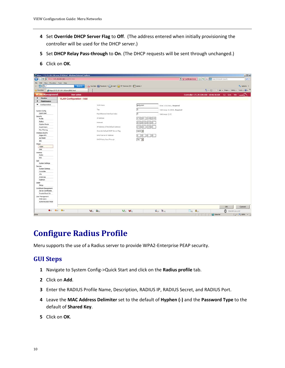- **4** Set **Override DHCP Server Flag** to **Off**. (The address entered when initially provisioning the controller will be used for the DHCP server.)
- **5** Set **DHCP Relay Pass-through** to **On**. (The DHCP requests will be sent through unchanged.)
- **6** Click on **OK**.

| G<br>D v C 77m (172.29.109.100) 1275.html           |                                                                             |                                 |                                         | V Cethode Error B 4 X Search-Results Search             | $  D $ $\times$<br>$\boxed{\rho}$ . |
|-----------------------------------------------------|-----------------------------------------------------------------------------|---------------------------------|-----------------------------------------|---------------------------------------------------------|-------------------------------------|
| View Favorites Tools Help<br>File:<br>Edit          |                                                                             |                                 |                                         |                                                         |                                     |
| $\mathcal{D}$ <sup><math>\alpha</math></sup>        | YouTube   Facebook - CE-mail - 173' Denver, CO - 1 Games -<br><b>Search</b> |                                 |                                         |                                                         | C. Options -                        |
| Favorites<br>Https://172.29.109.100/ems/EMS.html    |                                                                             |                                 |                                         | ● → 同 → □ Mi + Page + Safety + Tools + 2 + "            |                                     |
| <b>WLAN Management</b>                              | <b>User: admin</b>                                                          |                                 |                                         | Controller-172.29.109.100 10:46:38 AM CJ Save tele MeRU |                                     |
| <b>Monitor</b><br><b>VLAN Configuration - Add</b>   |                                                                             |                                 |                                         |                                                         |                                     |
| ×<br>Maintenance                                    |                                                                             |                                 |                                         |                                                         |                                     |
| Configuration                                       | VLAN Name                                                                   | polycom                         | Enter 1-32 chars., Required             |                                                         |                                     |
|                                                     | Tag                                                                         |                                 | Vald range: [1-4094], Required          |                                                         |                                     |
| <b>System Config</b><br>Quick Start                 |                                                                             |                                 |                                         |                                                         |                                     |
|                                                     | Fast Ethernet Interface Index                                               |                                 | Valid range: [1-2]                      |                                                         |                                     |
| <b>Security</b><br>Profile                          | IP Address                                                                  | 172 29 109 100                  |                                         |                                                         |                                     |
| Radus                                               | he tronds:                                                                  | 255 255 255<br>$\alpha$         |                                         |                                                         |                                     |
| Coptive Portal                                      |                                                                             |                                 |                                         |                                                         |                                     |
| Guest Users                                         | IP Address of the Default Gateway                                           | 172 20 109 1                    |                                         |                                                         |                                     |
| Mac Filtering                                       | Override Default DHCP Server Flag                                           | off <b>v</b>                    |                                         |                                                         |                                     |
| Wreless IDS/IPS                                     |                                                                             |                                 |                                         |                                                         |                                     |
| Rogue APs                                           | DHCP Server IP Address                                                      | $\circ$ $\circ$ $\circ$ $\circ$ |                                         |                                                         |                                     |
| Air Shield                                          | DHCP Relay Pass-Through                                                     | on -                            |                                         |                                                         |                                     |
| $_{\text{IDS}}$                                     |                                                                             |                                 |                                         |                                                         |                                     |
| Wired<br><b>VLAN</b><br>GRE                         |                                                                             |                                 |                                         |                                                         |                                     |
| Wreless                                             |                                                                             |                                 |                                         |                                                         |                                     |
| Radio                                               |                                                                             |                                 |                                         |                                                         |                                     |
| ESS                                                 |                                                                             |                                 |                                         |                                                         |                                     |
| QoS                                                 |                                                                             |                                 |                                         |                                                         |                                     |
| System Settings                                     |                                                                             |                                 |                                         |                                                         |                                     |
| Devices                                             |                                                                             |                                 |                                         |                                                         |                                     |
| System Settings<br>Controller                       |                                                                             |                                 |                                         |                                                         |                                     |
| APs                                                 |                                                                             |                                 |                                         |                                                         |                                     |
| <b>Antennas</b>                                     |                                                                             |                                 |                                         |                                                         |                                     |
| Redrect                                             |                                                                             |                                 |                                         |                                                         |                                     |
| <b>SWb</b>                                          |                                                                             |                                 |                                         |                                                         |                                     |
| Sehp                                                |                                                                             |                                 |                                         |                                                         |                                     |
| Certificate Management<br>Server Certificates       |                                                                             |                                 |                                         |                                                         |                                     |
| Trusted Root CA                                     |                                                                             |                                 |                                         |                                                         |                                     |
| User Management<br>Web Users<br>Authentication Mode |                                                                             |                                 |                                         |                                                         |                                     |
|                                                     |                                                                             |                                 |                                         |                                                         |                                     |
|                                                     |                                                                             |                                 |                                         | OK                                                      | Cancel                              |
| $Q_{[2]}$ $Q_{[0]}$ $Q_{[0]}$                       | <b>Ver</b> tor Grou                                                         | $Q_{[2]}$ $Q_{[0]}$             | $\mathcal{B}_{[0]}$ $\mathcal{B}_{[0]}$ | <b>Clean</b> Chapter                                    | $\bigcirc$ [00d:00h:11m:27s]        |

## <span id="page-13-0"></span>**Configure Radius Profile**

Meru supports the use of a Radius server to provide WPA2-Enterprise PEAP security.

- **1** Navigate to System Config->Quick Start and click on the **Radius profile** tab.
- **2** Click on **Add**.
- **3** Enter the RADIUS Profile Name, Description, RADIUS IP, RADIUS Secret, and RADIUS Port.
- **4** Leave the **MAC Address Delimiter** set to the default of **Hyphen (-)** and the **Password Type** to the default of **Shared Key**.
- **5** Click on **OK**.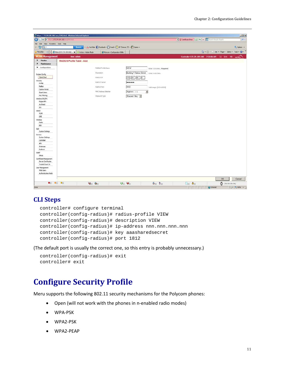

### **CLI Steps**

```
controller# configure terminal
controller(config-radius)# radius-profile VIEW
controller(config-radius)# description VIEW
controller(config-radius)# ip-address nnn.nnn.nnn.nnn
controller(config-radius)# key aaasharedsecret
controller(config-radius)# port 1812
```
(The default port is usually the correct one, so this entry is probably unnecessary.)

```
controller(config-radius)# exit
controller# exit
```
## <span id="page-14-0"></span>**Configure Security Profile**

Meru supports the following 802.11 security mechanisms for the Polycom phones:

- Open (will not work with the phones in n-enabled radio modes)
- WPA-PSK
- WPA2-PSK
- WPA2-PEAP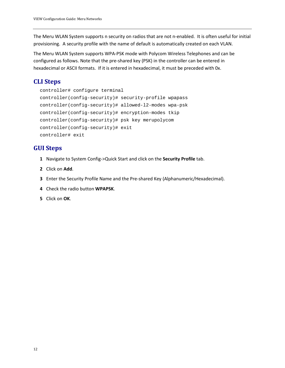The Meru WLAN System supports n security on radios that are not n-enabled. It is often useful for initial provisioning. A security profile with the name of default is automatically created on each VLAN.

The Meru WLAN System supports WPA-PSK mode with Polycom Wireless Telephones and can be configured as follows. Note that the pre-shared key (PSK) in the controller can be entered in hexadecimal or ASCII formats. If it is entered in hexadecimal, it must be preceded with 0x.

## **CLI Steps**

```
controller# configure terminal
controller(config-security)# security-profile wpapass
controller(config-security)# allowed-l2-modes wpa-psk
controller(config-security)# encryption-modes tkip
controller(config-security)# psk key merupolycom
controller(config-security)# exit
controller# exit
```
- **1** Navigate to System Config->Quick Start and click on the **Security Profile** tab.
- **2** Click on **Add**.
- **3** Enter the Security Profile Name and the Pre-shared Key (Alphanumeric/Hexadecimal).
- **4** Check the radio button **WPAPSK**.
- **5** Click on **OK**.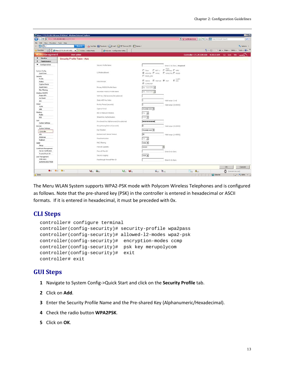| https://172.29.109.100/ems/EMS.html - Windows Internet Explorer<br>Nov (172.29.109.100) - LNS.html<br>G<br>$\mathbf{v}$ $\mathbf{c}$ |                                                                         | HOM<br>V Cethode Emor B 4 X C Search-Results Search<br>$\Omega$ -                                                                                       |
|--------------------------------------------------------------------------------------------------------------------------------------|-------------------------------------------------------------------------|---------------------------------------------------------------------------------------------------------------------------------------------------------|
|                                                                                                                                      |                                                                         |                                                                                                                                                         |
| View Favorites Tools Help<br>Edit<br>Fie:<br>0<br>$ a -$                                                                             | YouTube B   Facebook - C E-mail - B9" Denver, CO - P. Games -<br>Search | C. Options -                                                                                                                                            |
|                                                                                                                                      |                                                                         |                                                                                                                                                         |
| Favorites<br>- $\left $ https://172.29.109.100/ x<br><b>BBI</b>                                                                      | Polycom - Configuration Utility<br>bridge: - Admin Mode                 | ● ■ 国 · 国 (W) → Page + Safety + Tools + 0 + "                                                                                                           |
| <b>WLAN Management</b><br><b>User: admin</b>                                                                                         |                                                                         | Controller-172.29.109.100 9:20:22 AM GJ Smt Http://weight                                                                                               |
| $\mathbf{F}$<br>Monitor<br>Security Profile Table - Add                                                                              |                                                                         |                                                                                                                                                         |
| $\blacktriangleright$<br>Maintenance                                                                                                 |                                                                         |                                                                                                                                                         |
| ▼ Configuration                                                                                                                      | Security Profile Name                                                   | Erter 1-32 chars Required                                                                                                                               |
|                                                                                                                                      |                                                                         | $\Gamma$ des $\Gamma$ 802.1x $\Gamma$ WDP keys $\Gamma$ WPA                                                                                             |
| System Config<br>Quick Start                                                                                                         | L2 Photes Allowed                                                       | R WPAPSK E WPAZ E WPAZPSK E MEKED                                                                                                                       |
| Security                                                                                                                             |                                                                         | <b>C</b> MDED PSK                                                                                                                                       |
| Profile                                                                                                                              |                                                                         |                                                                                                                                                         |
| Radus.                                                                                                                               | Data Entrypt                                                            | $\blacksquare$ with $\blacksquare$ with $\blacksquare$ with $\blacksquare$ and $\blacksquare$ with $\blacksquare$ and $\blacksquare$ and $\blacksquare$ |
| Captive Portal                                                                                                                       |                                                                         | <b>EL COMPITAIR</b>                                                                                                                                     |
| Guest Users                                                                                                                          | Primary RADIUS Profile Name                                             | No RADIUS                                                                                                                                               |
| Mac Filtering                                                                                                                        | Secondary RADIUS Profile Name                                           | No PADIUS                                                                                                                                               |
| Wireless IDS/IPS<br>Rogue APs                                                                                                        |                                                                         |                                                                                                                                                         |
| Air Shield                                                                                                                           | WEP Key (Alphanumeric/Hexadecimal)                                      |                                                                                                                                                         |
| <b>IDS</b>                                                                                                                           | Static WEP Key Index                                                    | Valid range: [1-4]                                                                                                                                      |
| Wined                                                                                                                                | Re-Key Period (seconds)                                                 | Vald range: [0 65535]                                                                                                                                   |
| <b>VLAN</b>                                                                                                                          |                                                                         |                                                                                                                                                         |
| GRE                                                                                                                                  | Captive Portal                                                          | Disabled =                                                                                                                                              |
| Winnless<br>Radio                                                                                                                    | BO2.1X Network Initiation                                               | On 10                                                                                                                                                   |
| ESS                                                                                                                                  | Shared Key Authentication                                               | orr 36                                                                                                                                                  |
| Qu5                                                                                                                                  |                                                                         |                                                                                                                                                         |
| System Settings                                                                                                                      | Pre-shared Key (Alphanumeric/Hexadecimal)                               |                                                                                                                                                         |
| Devices                                                                                                                              | Group Keying Interval (seconds)                                         | Valid range: [0-65535]                                                                                                                                  |
| System Settings<br><b>CONTRACT</b>                                                                                                   | <b>Key Rotation</b>                                                     | Disabled *                                                                                                                                              |
| Controller                                                                                                                           | Backend Auth Server Timeout                                             | 30                                                                                                                                                      |
| APs<br>Antennas                                                                                                                      |                                                                         | Valid cange: [1-65535]                                                                                                                                  |
| Redrect                                                                                                                              | Reachentication                                                         | On 36                                                                                                                                                   |
| Starp                                                                                                                                | MAC Filtering                                                           | orr -                                                                                                                                                   |
| Setup                                                                                                                                | Firewall Capability                                                     | none<br>회                                                                                                                                               |
| Certificate Management                                                                                                               |                                                                         |                                                                                                                                                         |
| Server Certificates                                                                                                                  | Firewall Filter 10                                                      | Enter 0-16 chars.                                                                                                                                       |
| Trusted Root CA<br>User Management                                                                                                   | Security Logging                                                        | orr =                                                                                                                                                   |
| Web Users                                                                                                                            | Passthrough Firewall Filter ID                                          | Enter 0-16 chars.                                                                                                                                       |
| Authentication Mode                                                                                                                  |                                                                         |                                                                                                                                                         |
|                                                                                                                                      |                                                                         |                                                                                                                                                         |
|                                                                                                                                      |                                                                         | <b>OK</b><br>Cancel                                                                                                                                     |
| 0(0) 0(1) 0(1)                                                                                                                       | <b>Vetor</b> George<br>$Q_{21}$ $Q_{01}$                                | $601 - 11$<br><b>City C</b> <sub>[0]</sub><br>D [93d:10h:/2m/Na]                                                                                        |

The Meru WLAN System supports WPA2-PSK mode with Polycom Wireless Telephones and is configured as follows. Note that the pre-shared key (PSK) in the controller is entered in hexadecimal or ASCII formats. If it is entered in hexadecimal, it must be preceded with 0x.

#### **CLI Steps**

```
controller# configure terminal
controller(config-security)# security-profile wpa2pass
controller(config-security)# allowed-l2-modes wpa2-psk
controller(config-security)# encryption-modes ccmp
controller(config-security)# psk key merupolycom
controller(config-security)# exit
controller# exit
```
- **1** Navigate to System Config->Quick Start and click on the **Security Profile** tab.
- **2** Click on **Add**.
- **3** Enter the Security Profile Name and the Pre-shared Key (Alphanumeric/Hexadecimal).
- **4** Check the radio button **WPA2PSK**.
- **5** Click on **OK**.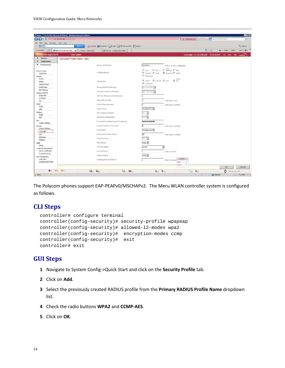| C + V + P 200 (172.29.109.100) 1375.html      | bttps://172.29.109.100/ems/EMS.html - Windows Internet Explorer     |                                                               | District Error B 4 X G Search Results Search                             | FFE<br>$\Omega$    |
|-----------------------------------------------|---------------------------------------------------------------------|---------------------------------------------------------------|--------------------------------------------------------------------------|--------------------|
| View Favorites Tools Help<br>Fie:<br>Edit     |                                                                     |                                                               |                                                                          |                    |
| $\circledcirc$<br>$ a -$                      | <b>Search</b>                                                       | YouTube B   Facebook - C E-mail - BS' Denver, CO - P. Games - |                                                                          | C_Options -        |
| Favorites<br>BBI                              | - $\bigcup$ https://172.29.109.100/ $\times$<br>bitdox - Admin Mode | Polycom - Configuration Utility                               | ● ■ 国 / □ 喇 · Page · Safety · Tools · 2 · "                              |                    |
| <b>WLAN Management</b>                        | <b>User: admin</b>                                                  |                                                               | Controller-172.29.109.100 9:14:29 AM GJ Smt Hob MeRU                     |                    |
| Monitor                                       | Security Profile Table - Add                                        |                                                               |                                                                          |                    |
| ٠<br>Maintenance                              |                                                                     |                                                               |                                                                          |                    |
| ▼ Configuration                               |                                                                     | Security Profile Name                                         | wpapass<br>Enter 1-32 chars., Required                                   |                    |
|                                               |                                                                     |                                                               | $\Gamma$ with keys $\Gamma$ with                                         |                    |
| System Config                                 |                                                                     | L2 Modes Abound                                               | $\Box$ Only $\Box$ 802.1x<br>E WPAPSK E WPAZ<br>R WPAZPSK E MDIED        |                    |
| Quick Start                                   |                                                                     |                                                               | <b>IT</b> MIXED PSK                                                      |                    |
| Security<br>Profile                           |                                                                     |                                                               |                                                                          |                    |
| Radus.                                        |                                                                     | Data Entrypt                                                  | $R$ vow<br>El WEPG4 El WEP128 El TKIP                                    |                    |
| Captive Portal                                |                                                                     |                                                               | E comptuse                                                               |                    |
| Guest Users                                   |                                                                     | Primary RADIUS Profile Name                                   | No RADIUS                                                                |                    |
| Mac Filtering                                 |                                                                     | Secondary RADIUS Profile Name                                 | No RADIUS                                                                |                    |
| Wireless IDS/IPS<br>Rogue APs                 |                                                                     |                                                               |                                                                          |                    |
| Air Shield                                    |                                                                     | WEP Key (Alphanumeric) rexadedmal)                            |                                                                          |                    |
| <b>IDS</b>                                    |                                                                     | Static WEP Key Index                                          | Valid range: [1-4]                                                       |                    |
| Wined                                         |                                                                     | Re-Key Period (seconds)                                       | Vald range: [0-65535]                                                    |                    |
| <b>VLAN</b><br>GRE                            |                                                                     | Captive Portal                                                | Disabled =                                                               |                    |
| Winnless                                      |                                                                     |                                                               |                                                                          |                    |
| Radio                                         |                                                                     | BO2.1X Network Initiation                                     | On 10                                                                    |                    |
| ESS                                           |                                                                     | Shared Key Authentication                                     | orr 36                                                                   |                    |
| Qo5<br>System Settings                        |                                                                     | Pre-shared Key (Alphanumeric/Hexadecimal)                     |                                                                          |                    |
| Devices                                       |                                                                     | Group Keying Interval (seconds)                               | Valid range: (0-65535)                                                   |                    |
| System Settings                               |                                                                     | <b>Key Rotation</b>                                           | Disabled *                                                               |                    |
| Controller<br>APs                             |                                                                     | Backend Auth Server Timeout                                   | 30<br>Valid range: [1-65535]                                             |                    |
| Antennas                                      |                                                                     |                                                               |                                                                          |                    |
| Redrect                                       |                                                                     | Reachentication                                               | on 36                                                                    |                    |
| <b>SMP</b>                                    |                                                                     | MAC Filtering                                                 | orr =                                                                    |                    |
| Setup                                         |                                                                     | Firewall Capability                                           | 芝<br>none                                                                |                    |
| Certificate Management<br>Server Certificates |                                                                     | Firewall Filter 10                                            |                                                                          |                    |
| Trusted Root CA                               |                                                                     |                                                               | Enter 0-16 chars.                                                        |                    |
| User Management                               |                                                                     | Security Logging                                              | orr $\bullet$                                                            |                    |
| Web Users                                     |                                                                     | Passthrough Firewall Filter ID                                | <b>ESSIDs</b><br>Enter 0-16 chars                                        |                    |
| Authentication Mode                           |                                                                     |                                                               | Cléan                                                                    |                    |
|                                               |                                                                     |                                                               | Secure<br>o<br><b>OK</b>                                                 | Cancel             |
| $Q_{[0]}$ $Q_{[1]}$ $Q_{[1]}$                 | <b>Vetor</b> Grou                                                   | $Q_{21}$ $Q_{01}$                                             | $601 - 11$<br><b>City C</b> <sub>(0)</sub><br><b>O</b> (03d:1th:26m:06s) |                    |
| Done                                          |                                                                     |                                                               | C Internet                                                               | $+$ $+$ $+$ 100% - |

The Polycom phones support EAP-PEAPv0/MSCHAPv2. The Meru WLAN controller system is configured as follows.

#### **CLI Steps**

```
controller# configure terminal
controller(config-security)# security-profile wpapeap
controller(config-security)# allowed-l2-modes wpa2
controller(config-security)# encryption-modes ccmp
controller(config-security)# exit
controller# exit
```
- **1** Navigate to System Config->Quick Start and click on the **Security Profile** tab.
- **2** Click on **Add**.
- **3** Select the previously created RADIUS profile from the **Primary RADIUS Profile Name** dropdown list.
- **4** Check the radio buttons **WPA2** and **CCMP-AES**.
- **5** Click on **OK**.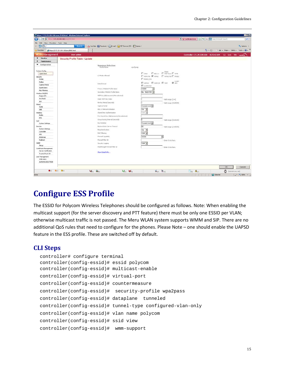| https://172.29.109.100/ems/EMS.html - Windows Internet Explorer<br><b>K</b><br>▼ P 2010 (172.29.109.100) 1215.html |                                                                                     |                               |                                                      | District Certificate Emor B 49 X Contribute Search      | HOM<br>$\Omega$ -          |
|--------------------------------------------------------------------------------------------------------------------|-------------------------------------------------------------------------------------|-------------------------------|------------------------------------------------------|---------------------------------------------------------|----------------------------|
| View Favorites Tools Help<br>Edit<br>Fie:                                                                          |                                                                                     |                               |                                                      |                                                         |                            |
| 0<br>$ a -$                                                                                                        | YouTube B   Facebook - C E-mail - [ ] 53' Denver, CO - [ ] Games -<br><b>Search</b> |                               |                                                      |                                                         | C. Options                 |
| Favorites<br>Https://172.29.109.100/ems/EMS.html                                                                   |                                                                                     |                               |                                                      | ● ■ 国 · 国 (W) → Page + Safety + Tools + 0 + "           |                            |
| <b>WLAN Management</b>                                                                                             | <b>User: admin</b>                                                                  |                               |                                                      | Controller-172.29.109.100 8:25:42 AM CLI Save Heb MeRLI |                            |
| Monitor<br>$\mathbf{F}$                                                                                            |                                                                                     |                               |                                                      |                                                         |                            |
| $\blacktriangleright$<br>Maintenance                                                                               | Security Profile Table - Update                                                     |                               |                                                      |                                                         |                            |
| ▼ Configuration                                                                                                    |                                                                                     |                               |                                                      |                                                         |                            |
|                                                                                                                    | Summary Selection<br>Profile Name                                                   | wpallpeap                     |                                                      |                                                         |                            |
| System Config                                                                                                      |                                                                                     |                               |                                                      |                                                         |                            |
| <b>Quick Start</b>                                                                                                 | L2 Modes Allowed                                                                    |                               | $\Box$ Ohar $\Box$ 802.1x $\Box$ WEP keys $\Box$ WPA |                                                         |                            |
| Security                                                                                                           |                                                                                     |                               | E WPAPSK R WPAZ E WPAZPSK E MIXED                    |                                                         |                            |
| Profile                                                                                                            |                                                                                     | <b>C</b> MDED PSK             |                                                      |                                                         |                            |
| Radus                                                                                                              | Data Encrypt                                                                        | <b>E WEPG4</b> E WEP120 E TKP | $R$ ALS                                              |                                                         |                            |
| Capitive Portal<br>Guest Users                                                                                     |                                                                                     | ■ ссмеуткзе                   |                                                      |                                                         |                            |
| Mac Filtering                                                                                                      | Primary RADIUS Profile Name                                                         | VIEW<br>$\tau$                |                                                      |                                                         |                            |
| Wireless ID5/IP5                                                                                                   | Secondary RADIUS Profile Name                                                       | No RADIUS -                   |                                                      |                                                         |                            |
| Rogue APs                                                                                                          | WEP Key (Alphanumeric/Heundecimal)                                                  |                               |                                                      |                                                         |                            |
| Air Shield                                                                                                         | Static WEP Key Index                                                                |                               | Valid range: [1-4]                                   |                                                         |                            |
| IDS.                                                                                                               | Re-Key Period (seconds)                                                             |                               |                                                      |                                                         |                            |
| Wired                                                                                                              | Captive Portal                                                                      | Disabled .                    | Valid range: [0-65535]                               |                                                         |                            |
| <b>YLAN</b>                                                                                                        |                                                                                     |                               |                                                      |                                                         |                            |
| GRE                                                                                                                | BO2.1X Network Initiation                                                           | on $\rightarrow$              |                                                      |                                                         |                            |
| <b>Wireless</b>                                                                                                    | Shared Key Authentication                                                           | orr w                         |                                                      |                                                         |                            |
| Radio<br>ESS                                                                                                       | Pre-shared Key (Alphanumeric/Hexadecinal)                                           |                               |                                                      |                                                         |                            |
|                                                                                                                    | Group Keying Interval (seconds)                                                     |                               | Valid range: [0-65535]                               |                                                         |                            |
| QoS<br>System Settings                                                                                             | Key Robsbon                                                                         | Disabled .                    |                                                      |                                                         |                            |
| Devices                                                                                                            | Backend Auth Server Teneout                                                         | 50                            | Valid range: [1-65535]                               |                                                         |                            |
| System Settings                                                                                                    | Reauthentication                                                                    | on -                          |                                                      |                                                         |                            |
| Controller                                                                                                         |                                                                                     |                               |                                                      |                                                         |                            |
| APs                                                                                                                | MAC Filtering                                                                       | Off =                         |                                                      |                                                         |                            |
| Antennas                                                                                                           | Firewal Capability                                                                  | none                          | ⊠                                                    |                                                         |                            |
| Redrect                                                                                                            | Firewall Filter (D)                                                                 |                               | Enter 0-16 chars.                                    |                                                         |                            |
| <b>SMP</b>                                                                                                         | Security Logging                                                                    | orr -                         |                                                      |                                                         |                            |
| Setup                                                                                                              | Pásthrough Firewall Filter ID                                                       |                               | Enter 0-16 chars.                                    |                                                         |                            |
| Certificate Management<br>Server Certificates                                                                      |                                                                                     |                               |                                                      |                                                         |                            |
| Trusted Root CA                                                                                                    | Show Detail Info                                                                    |                               |                                                      |                                                         |                            |
| User Management                                                                                                    |                                                                                     |                               |                                                      |                                                         |                            |
| Web Users<br>Authentication Mode                                                                                   |                                                                                     |                               |                                                      |                                                         |                            |
|                                                                                                                    |                                                                                     |                               |                                                      | <b>OK</b>                                               | Cancel                     |
| Q(2)<br>$Q(2)$ $Q(0)$                                                                                              | <b>Vetor</b> Grou                                                                   | $Q_{21}$ $Q_{01}$             | $\mathbb{G}_{(0)}$ <b>li</b> <sub>[3]</sub>          | <b>Cross Card</b>                                       | $($ cod.11h.21m.421]       |
| Done                                                                                                               |                                                                                     |                               |                                                      | C Internet                                              | $+$ $\frac{1}{4}$ + 100% - |

## <span id="page-18-0"></span>**Configure ESS Profile**

The ESSID for Polycom Wireless Telephones should be configured as follows. Note: When enabling the multicast support (for the server discovery and PTT feature) there must be only one ESSID per VLAN; otherwise multicast traffic is not passed. The Meru WLAN system supports WMM and SIP. There are no additional QoS rules that need to configure for the phones. Please Note – one should enable the UAPSD feature in the ESS profile. These are switched off by default.

#### **CLI Steps**

```
controller# configure terminal
controller(config-essid)# essid polycom
controller(config-essid)# multicast-enable
controller(config-essid)# virtual-port
controller(config-essid)# countermeasure
controller(config-essid)# security-profile wpa2pass
controller(config-essid)# dataplane tunneled
controller(config-essid)# tunnel-type configured-vlan-only
controller(config-essid)# vlan name polycom
controller(config-essid)# ssid view
controller(config-essid)# wmm-support
```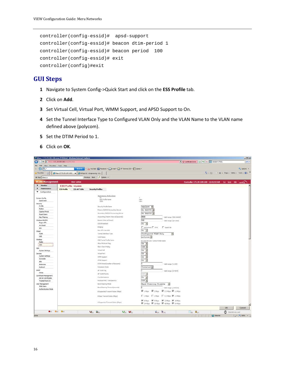```
controller(config-essid)# apsd-support
controller(config-essid)# beacon dtim-period 1
controller(config-essid)# beacon period 100
controller(config-essid)# exit
controller(config)#exit
```
- **1** Navigate to System Config->Quick Start and click on the **ESS Profile** tab.
- **2** Click on **Add**.
- **3** Set Virtual Cell, Virtual Port, WMM Support, and APSD Support to On.
- **4** Set the Tunnel Interface Type to Configured VLAN Only and the VLAN Name to the VLAN name defined above (polycom).
- **5** Set the DTIM Period to 1.
- **6** Click on **OK**.

|                                               | bttps://172.29.109.100/ems/EMS.html - Windows Internet Explorer                             | $-101 \times$                                                                      |
|-----------------------------------------------|---------------------------------------------------------------------------------------------|------------------------------------------------------------------------------------|
| c.<br>Гe                                      | 172.29.109.100                                                                              | V Certificate Error B ++ X S catalyst 1750G<br>$\Omega$ -                          |
| View Favorites Tools Help<br>Edit<br>File:    |                                                                                             |                                                                                    |
| 9a.                                           | YouTube B   Facebook - C E-mail - 37" Denver, CO - D. Games -<br>Search                     | C. Options                                                                         |
| Favorites                                     | BB - Chttps://172.29.109.100/ x Chrfolp172 < Engneering < 5                                 | The Fill - Il met - Page - Safety - Tools - 22 - "                                 |
| <b>x</b> Find: rebecca                        | Previous Next / Options -                                                                   |                                                                                    |
| <b>WLAN Management</b>                        | <b>User: admin</b>                                                                          | Controller-172.29.109.100 12:41:53 AM CLI Stat 1882 MeRU                           |
| <b>F</b> Honitor                              | <b>ESS Profile - Update</b>                                                                 |                                                                                    |
| Maintenance                                   |                                                                                             |                                                                                    |
| <b>v</b> Configuration                        | <b>ESS Profile</b><br><b>ESS-AP Table</b><br><b>Security Profiles</b>                       |                                                                                    |
|                                               |                                                                                             |                                                                                    |
|                                               | Summary Selection                                                                           | $\mathcal{I}$                                                                      |
| System Config                                 | ESS Profile Name                                                                            | view                                                                               |
| Quick Start                                   | <b>SSID</b>                                                                                 | view                                                                               |
| Security<br>Profile                           |                                                                                             |                                                                                    |
| Radius                                        | Security Profile Name                                                                       | wpa2psk -                                                                          |
| Captive Portal                                | Primary RADIUS Accounting Server                                                            | No RADIUS -                                                                        |
| <b>Guest Users</b>                            | Secondary RADIUS Accounting Server                                                          | No RADIUS -                                                                        |
| Mac Filtering                                 | Accounting Interim Interval (seconds)                                                       | 3600<br>Valid range: [600-36000]                                                   |
|                                               |                                                                                             |                                                                                    |
| Wireless IDS/IPS<br>Rogue APs                 | Beacon Interval (moet)                                                                      | 100<br>Valid range: [20-1000]                                                      |
| Air Shield                                    | SSID Broadcast                                                                              | on -                                                                               |
|                                               | Bridging                                                                                    | $\Gamma$ ArFortress $\Gamma$ IPV6<br>AppleTalk                                     |
| <b>IDS</b>                                    | New AP's Join ESS                                                                           | $On -$                                                                             |
| Wired<br>VLAN                                 | Tunnel Interface Type                                                                       | Configured VLAN Only                                                               |
| GRE                                           |                                                                                             | 围                                                                                  |
|                                               | VLAN Name                                                                                   | polycom -                                                                          |
| Wireless<br>Radio                             | <b>GRE Tunnel Profile Name</b>                                                              | No Data for GRE Turinel Profile Name                                               |
|                                               | Allow Multicant Flag                                                                        | On -                                                                               |
| <b>ESS</b>                                    | Sterit Clerit Poling                                                                        | off -                                                                              |
| QoS                                           | Virtual Cell                                                                                | $On -$                                                                             |
| <b>System Settings</b>                        |                                                                                             |                                                                                    |
| Devices                                       | Virtual Port                                                                                | on -                                                                               |
| System Settings                               | WMM Support                                                                                 | $On -$                                                                             |
| Controller                                    | APSD Support                                                                                | on -                                                                               |
| AP <sub>2</sub>                               | DTIM Period (number of beacons)                                                             | Valid range: [1-255]                                                               |
| Antennas                                      | Dataplane Mode                                                                              |                                                                                    |
| Redrect                                       |                                                                                             | Tunneled *                                                                         |
| Steve                                         | AP VLAN Tag                                                                                 | Valid range: [0-9094]                                                              |
| Setup.                                        | AP VLAN Priority                                                                            | orr w                                                                              |
| Certificate Management<br>Server Certificates | Countermeasure                                                                              | On $\bullet$                                                                       |
| Trusted Root CA                               | Multicast MAC Transparency                                                                  | off .                                                                              |
|                                               |                                                                                             |                                                                                    |
| User Management<br>Web Users                  | Band Steering Mode                                                                          | <b>Band Steering Disable</b><br>$\sim$                                             |
| Authentication Mode                           | Band Steering Timeout(seconds)                                                              | 5<br>Valid range: [1-65535]                                                        |
|                                               | B Supported Transmit Rates (Mbps)                                                           | $\overline{M}$ 1Mps $\overline{M}$ 2Mps $\overline{M}$ 5.5Mps $\overline{M}$ 11Mps |
|                                               | B Base Transmit Rates (Mbos)                                                                | E 1Mbps: E 2Mbps E 5.5Mbps R 11Mbps                                                |
|                                               | A Supported Transmit Rates (Mops)                                                           | F 6Mps F 9Mps F 12Mps F 18Mps<br>R 24Mbos R 36Mbos R 48Mbos R 54Mbos               |
|                                               |                                                                                             |                                                                                    |
|                                               |                                                                                             | OK<br>Cancel                                                                       |
|                                               | $\Phi(v)$ $\Phi(v)$ $\Phi(v)$<br>$Q_{\text{eff}}$ $Q_{\text{eff}}$<br><b>Voltage George</b> | $\mathbf{B}_{[0]}$ $\mathbf{B}_{[0]}$<br><b>Copy Copy</b><br>(00d-00h-05mills)     |
|                                               |                                                                                             | C Internet<br>$ \frac{1}{10}  =  \frac{1}{24}100\%$                                |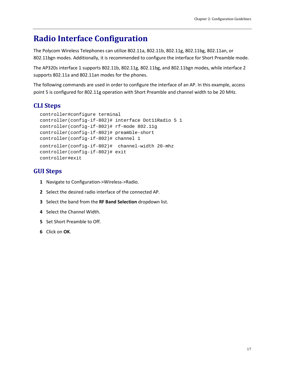## <span id="page-20-0"></span>**Radio Interface Configuration**

The Polycom Wireless Telephones can utilize 802.11a, 802.11b, 802.11g, 802.11bg, 802.11an, or 802.11bgn modes. Additionally, it is recommended to configure the interface for Short Preamble mode.

The AP320s interface 1 supports 802.11b, 802.11g, 802.11bg, and 802.11bgn modes, while interface 2 supports 802.11a and 802.11an modes for the phones.

The following commands are used in order to configure the interface of an AP. In this example, access point 5 is configured for 802.11g operation with Short Preamble and channel width to be 20 MHz.

## **CLI Steps**

```
controller#configure terminal
controller(config-if-802)# interface Dot11Radio 5 1
controller(config-if-802)# rf-mode 802.11g
controller(config-if-802)# preamble-short
controller(config-if-802)# channel 1
controller(config-if-802)# channel-width 20-mhz
controller(config-if-802)# exit
controller#exit
```
- **1** Navigate to Configuration->Wireless->Radio.
- **2** Select the desired radio interface of the connected AP.
- **3** Select the band from the **RF Band Selection** dropdown list.
- **4** Select the Channel Width.
- **5** Set Short Preamble to Off.
- **6** Click on **OK**.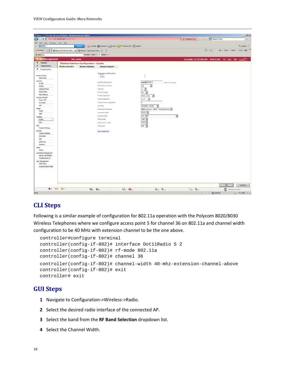| Chttps://172.29.109.100/ems/EMS.html - Windows Internet Explorer                           |                                        |                                                                    |                                                                                |                                                              |                                                                                                  |                          |                                                                                                                                     | $-10x$                                       |
|--------------------------------------------------------------------------------------------|----------------------------------------|--------------------------------------------------------------------|--------------------------------------------------------------------------------|--------------------------------------------------------------|--------------------------------------------------------------------------------------------------|--------------------------|-------------------------------------------------------------------------------------------------------------------------------------|----------------------------------------------|
| $\bigodot$                                                                                 | ● P. Https://172.29.109.100% LLMS.html |                                                                    |                                                                                |                                                              |                                                                                                  |                          | V Certificate Error B ++ X C catalyst 1750G                                                                                         | $\rho$ .                                     |
| File Edit<br>View Favorites Tools Help                                                     |                                        |                                                                    |                                                                                |                                                              |                                                                                                  |                          |                                                                                                                                     |                                              |
| 99.<br>×                                                                                   |                                        | <b>Search</b>                                                      |                                                                                | YouTube   Facebook - C E-mail - 1 51' Denver, CO - 1 Games - |                                                                                                  |                          |                                                                                                                                     | C. Options -                                 |
| Favorites                                                                                  |                                        | Be   -   Chttps://172.29.109.100/ x   C Polycom - SpectraLink 0450 |                                                                                |                                                              |                                                                                                  |                          |                                                                                                                                     | G + El - I imi + Page + Safety + Tools + @ + |
| x Find: cdp                                                                                |                                        |                                                                    | Previous Next / Options -                                                      |                                                              |                                                                                                  |                          |                                                                                                                                     |                                              |
| <b>WLAN Management</b>                                                                     |                                        | <b>User: admin</b>                                                 |                                                                                |                                                              |                                                                                                  |                          | Controller-172.29.109.100 8:46:15 AM GJI Sing 1982 Mcku                                                                             |                                              |
| <b>F</b> Honitor                                                                           |                                        | Wireless Interface Configuration - Update                          |                                                                                |                                                              |                                                                                                  |                          |                                                                                                                                     |                                              |
| <b>F</b> Maintenance                                                                       | <b>Wireless Interface</b>              | <b>Wireless Statistics</b>                                         | <b>Antenna Property</b>                                                        |                                                              |                                                                                                  |                          |                                                                                                                                     |                                              |
| v Configuration                                                                            |                                        |                                                                    |                                                                                |                                                              |                                                                                                  |                          |                                                                                                                                     |                                              |
| System Config<br>Quick Start<br>Security<br>Profile                                        |                                        |                                                                    | Summary Selection<br>1flndex<br>Interface Description<br>Administrative Status |                                                              | $\overline{\mathcal{N}}$<br>T.<br>ieee80211-5-1<br>Enter 0-256 chars.<br>$\overline{\mathbf{x}}$ |                          |                                                                                                                                     |                                              |
| Radus                                                                                      |                                        |                                                                    |                                                                                |                                                              | Up.                                                                                              |                          |                                                                                                                                     |                                              |
| Captive Portal<br><b>Guest Users</b>                                                       |                                        |                                                                    | Channel<br>Short Preamble                                                      |                                                              | $1 - 2$<br>on -                                                                                  |                          |                                                                                                                                     |                                              |
| Mac Filtering                                                                              |                                        |                                                                    | RF Band Selection                                                              |                                                              |                                                                                                  |                          |                                                                                                                                     |                                              |
| Wireless IDS/IPS                                                                           |                                        |                                                                    | Antenna Selection                                                              |                                                              | 802.11g<br>$\overline{\bullet}$<br>Left B                                                        |                          |                                                                                                                                     |                                              |
| Rogue APs                                                                                  |                                        |                                                                    | Transmit Power High(d8m)                                                       |                                                              |                                                                                                  |                          |                                                                                                                                     |                                              |
| Air Shield<br><b>IDS</b>                                                                   |                                        |                                                                    |                                                                                |                                                              |                                                                                                  |                          |                                                                                                                                     |                                              |
| Wired                                                                                      |                                        |                                                                    | AP Mode                                                                        |                                                              | Normal Mode<br>$\overline{\phantom{a}}$                                                          |                          |                                                                                                                                     |                                              |
| <b>VLAN</b>                                                                                |                                        |                                                                    | Protection Mechanism                                                           |                                                              | WMM-style TXOP Protection *                                                                      |                          |                                                                                                                                     |                                              |
| GRE                                                                                        |                                        |                                                                    | <b>Protection Mode</b>                                                         |                                                              | Auto -                                                                                           |                          |                                                                                                                                     |                                              |
| Wireless                                                                                   |                                        |                                                                    | Channel Width                                                                  |                                                              | 20 MHz                                                                                           | $\overline{\mathcal{L}}$ |                                                                                                                                     |                                              |
| Radio                                                                                      |                                        |                                                                    | MIMO Mode                                                                      |                                                              | $2x2 =$                                                                                          |                          |                                                                                                                                     |                                              |
| ESS                                                                                        |                                        |                                                                    | 802.11n only mode                                                              |                                                              | off =                                                                                            |                          |                                                                                                                                     |                                              |
| QoS<br><b>System Settings</b>                                                              |                                        |                                                                    | Virtual Cell                                                                   |                                                              | on *                                                                                             |                          |                                                                                                                                     |                                              |
| Devices<br>System Settings<br>Controller<br>APs:<br>Antennas                               |                                        |                                                                    | Show Detail Info                                                               |                                                              |                                                                                                  |                          |                                                                                                                                     |                                              |
| Redrect                                                                                    |                                        |                                                                    |                                                                                |                                                              |                                                                                                  |                          |                                                                                                                                     |                                              |
| Steve<br>Setup.                                                                            |                                        |                                                                    |                                                                                |                                                              |                                                                                                  |                          |                                                                                                                                     |                                              |
| Certificate Management<br>Server Certificates<br>Trusted Root CA<br><b>User Management</b> |                                        |                                                                    |                                                                                |                                                              |                                                                                                  |                          |                                                                                                                                     |                                              |
| Web Users<br>Authentication Mode                                                           |                                        |                                                                    |                                                                                |                                                              |                                                                                                  |                          |                                                                                                                                     |                                              |
|                                                                                            | $\Phi(v) = \Phi(v) = \Phi(v)$          | <b>Vehal Geral</b>                                                 |                                                                                | $Q_{11}$ $Q_{12}$                                            | $6_{10}$ $8_{11}$                                                                                |                          | <b>Copy Copy</b>                                                                                                                    | OK<br>Cancel<br>[Odiozhi04mi10s]             |
| Done                                                                                       |                                        |                                                                    |                                                                                |                                                              |                                                                                                  |                          | <b>The Contract of Contract of The Contract of The Contract of The Contract of The Contract of The Contract of Th</b><br>C Internet | $ \frac{1}{100} -   + 100\%$ -               |

### **CLI Steps**

Following is a similar example of configuration for 802.11a operation with the Polycom 8020/8030 Wireless Telephones where we configure access point 5 for channel 36 on 802.11a and channel width configuration to be 40 MHz with extension channel to be the one above.

```
controller#configure terminal
controller(config-if-802)# interface Dot11Radio 5 2
controller(config-if-802)# rf-mode 802.11a
controller(config-if-802)# channel 36
controller(config-if-802)# channel-width 40-mhz-extension-channel-above
controller(config-if-802)# exit
controller# exit
```
- **1** Navigate to Configuration->Wireless->Radio.
- **2** Select the desired radio interface of the connected AP.
- **3** Select the band from the **RF Band Selection** dropdown list.
- **4** Select the Channel Width.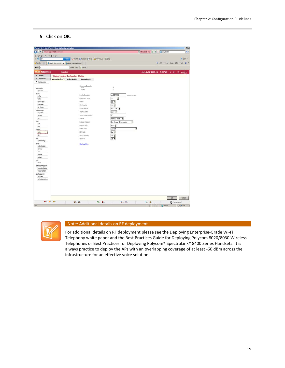#### **5** Click on **OK**.

| C (C) v E may 122 23:09:100 enciritis and<br>Ele Edk Vew Fgvortes Incis Heb<br>$\mathbb{S}$<br>Brande EFschool - CEmai - E 51" Denver, CO - E Ganes +<br>Search | V Geforetino B 4 X Coreye 350<br>ip i                   |
|-----------------------------------------------------------------------------------------------------------------------------------------------------------------|---------------------------------------------------------|
|                                                                                                                                                                 |                                                         |
|                                                                                                                                                                 |                                                         |
|                                                                                                                                                                 | O, opters +                                             |
| 문 - Zhits://17229.109.109 x 2 Holyan - Special N 040<br>Pinorbis                                                                                                | 다 - (2 - 1) mi - Euge - Safety - Tools - (2) - "        |
| Pevins Met / Optors .<br>X Fnt: ct                                                                                                                              |                                                         |
| <b>WLAN Management</b><br>User: admin                                                                                                                           | Controller-172.29.109.100 8:48:05 AM (1) Stat 180 Mercu |
| <b>J</b> Honitor<br>Wireless Interface Configuration - Update                                                                                                   |                                                         |
| <i>I</i> Haintenance<br><b>Wireless Interface</b><br>Wireless Statistics<br><b>Antenna Property</b>                                                             |                                                         |
| <b>T</b> Configuration                                                                                                                                          |                                                         |
| Summary Selection                                                                                                                                               |                                                         |
| ï<br>AP TO<br>System Config<br>ä<br>Iflades:<br>Quickat                                                                                                         |                                                         |
| Security                                                                                                                                                        |                                                         |
| ieee80211-5-2<br>Interface Description<br>Inter 6-256 charg<br>Profile                                                                                          |                                                         |
| Administrative Status<br>圛<br>$\overline{u}$<br>Radus                                                                                                           |                                                         |
| Captive Portal<br>Carrel<br>$36$ $\overline{3}$                                                                                                                 |                                                         |
| Gestlisen<br>orr M<br>StotPremble                                                                                                                               |                                                         |
| <b>Nacilitaring</b><br>RF Band Selection<br>E)<br>802.11a                                                                                                       |                                                         |
| <b>Windess ES/PS</b><br>Anterna Selection<br>Left B<br>Rogue APs                                                                                                |                                                         |
| $\overline{\mathfrak{N}}$<br>Transmit Power High (dBm)<br>Ar Shed                                                                                               |                                                         |
| ms<br>AP Hode<br>Normal Mode<br>Ξ                                                                                                                               |                                                         |
| Vired<br>Piolector Nechanism<br>One-Frame Protection<br>٠                                                                                                       |                                                         |
| <b>YLAN</b><br>Auto <sup>1</sup><br>Protector Mode                                                                                                              |                                                         |
| GRE<br>20 MHz<br>Ξ<br>Cannel Visité                                                                                                                             |                                                         |
| <b>Vireless</b><br><b>MDVO Mode</b><br>$282 -$                                                                                                                  |                                                         |
| Rado<br>ESS<br>BT2.12r only mode                                                                                                                                |                                                         |
| off #<br>QoS                                                                                                                                                    |                                                         |
| $0n - 1$<br>What Cell<br><b>System Settings</b>                                                                                                                 |                                                         |
| Devices<br>Show Detail Info                                                                                                                                     |                                                         |
| System Settings                                                                                                                                                 |                                                         |
| Controller                                                                                                                                                      |                                                         |
| $\frac{324}{3}$                                                                                                                                                 |                                                         |
| Antemas<br>Redrect                                                                                                                                              |                                                         |
| 500                                                                                                                                                             |                                                         |
| Setup                                                                                                                                                           |                                                         |
| Certificate Management                                                                                                                                          |                                                         |
| Server Certificates                                                                                                                                             |                                                         |
| Trusted Root CA                                                                                                                                                 |                                                         |
| <b>User Management</b><br>Web Users                                                                                                                             |                                                         |
| Authentication Mode                                                                                                                                             |                                                         |
|                                                                                                                                                                 |                                                         |
|                                                                                                                                                                 | OK<br>Concel                                            |
| 0 0 0 0 0<br>$\frac{1}{2}$<br>6 <sub>m</sub><br><b>Value Co</b> nt                                                                                              | <b>O</b> (membranch)<br>Em Ord                          |
| Done                                                                                                                                                            | P Internet<br>$r_0 = 1.005 +$                           |



#### Note: Additional details on RF deployment

For additional details on RF deployment please see the Deploying Enterprise-Grade Wi-Fi Telephony white paper and the Best Practices Guide for Deploying Polycom 8020/8030 Wireless Telephones or Best Practices for Deploying Polycom® SpectraLink® 8400 Series Handsets. It is always practice to deploy the APs with an overlapping coverage of at least -60 dBm across the infrastructure for an effective voice solution.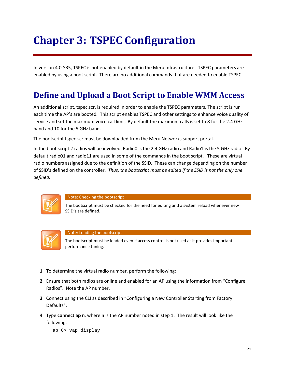# **Chapter 3: TSPEC Configuration**

In version 4.0-SR5, TSPEC is not enabled by default in the Meru Infrastructure. TSPEC parameters are enabled by using a boot script. There are no additional commands that are needed to enable TSPEC.

# <span id="page-24-0"></span>**Define and Upload a Boot Script to Enable WMM Access**

An additional script, tspec.scr, is required in order to enable the TSPEC parameters. The script is run each time the AP's are booted. This script enables TSPEC and other settings to enhance voice quality of service and set the maximum voice call limit. By default the maximum calls is set to 8 for the 2.4 GHz band and 10 for the 5 GHz band.

The bootscript tspec.scr must be downloaded from the Meru Networks support portal.

In the boot script 2 radios will be involved. Radio0 is the 2.4 GHz radio and Radio1 is the 5 GHz radio. By default radio01 and radio11 are used in some of the commands in the boot script. These are virtual radio numbers assigned due to the definition of the SSID. These can change depending on the number of SSID's defined on the controller. *Thus, the bootscript must be edited if the SSID is not the only one defined.*



#### Note: Checking the bootscript

The bootscript must be checked for the need for editing and a system reload whenever new SSID's are defined.



#### Note: Loading the bootscript

The bootscript must be loaded even if access control is not used as it provides important performance tuning.

- **1** To determine the virtual radio number, perform the following:
- **2** Ensure that both radios are online and enabled for an AP using the information from "Configure Radios". Note the AP number.
- **3** Connect using the CLI as described in "Configuring a New Controller Starting from Factory Defaults".
- **4** Type **connect ap n**, where **n** is the AP number noted in step 1. The result will look like the following:

ap 6> vap display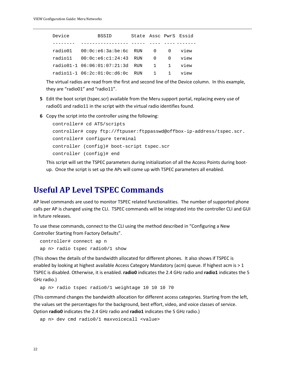| Device | <b>BSSID</b>                          | State Assc PwrS Essid |             |      |
|--------|---------------------------------------|-----------------------|-------------|------|
|        |                                       |                       |             |      |
|        |                                       |                       |             | view |
|        | radio11  00:0c:e6:c1:24:43  RUN  0  0 |                       |             | view |
|        | radio01-1 06:06:01:07:21:3d RUN       |                       | $1 \quad 1$ | view |
|        | radio11-1 06:2c:01:0c:d6:0c RUN       |                       | $1 \quad 1$ | view |

The virtual radios are read from the first and second line of the Device column. In this example, they are "radio01" and "radio11".

- **5** Edit the boot script (tspec.scr) available from the Meru support portal, replacing every use of radio01 and radio11 in the script with the virtual radio identifies found.
- **6** Copy the script into the controller using the following:

```
controller# cd ATS/scripts
controller# copy ftp://ftpuser:ftppasswd@offbox-ip-address/tspec.scr.
controller# configure terminal
controller (config)# boot-script tspec.scr
controller (config)# end
```
This script will set the TSPEC parameters during initialization of all the Access Points during bootup. Once the script is set up the APs will come up with TSPEC parameters all enabled.

## <span id="page-25-0"></span>**Useful AP Level TSPEC Commands**

AP level commands are used to monitor TSPEC related functionalities. The number of supported phone calls per AP is changed using the CLI. TSPEC commands will be integrated into the controller CLI and GUI in future releases.

To use these commands, connect to the CLI using the method described in "Configuring a New Controller Starting from Factory Defaults".

```
controller# connect ap n
ap n> radio tspec radio0/1 show
```
(This shows the details of the bandwidth allocated for different phones. It also shows if TSPEC is enabled by looking at highest available Access Category Mandatory (acm) queue. If highest acm is > 1 TSPEC is disabled. Otherwise, it is enabled. **radio0** indicates the 2.4 GHz radio and **radio1** indicates the 5 GHz radio.)

ap n> radio tspec radio0/1 weightage 10 10 10 70

(This command changes the bandwidth allocation for different access categories. Starting from the left, the values set the percentages for the background, best effort, video, and voice classes of service. Option **radio0** indicates the 2.4 GHz radio and **radio1** indicates the 5 GHz radio.)

```
ap n> dev cmd radio0/1 maxvoicecall <value>
```